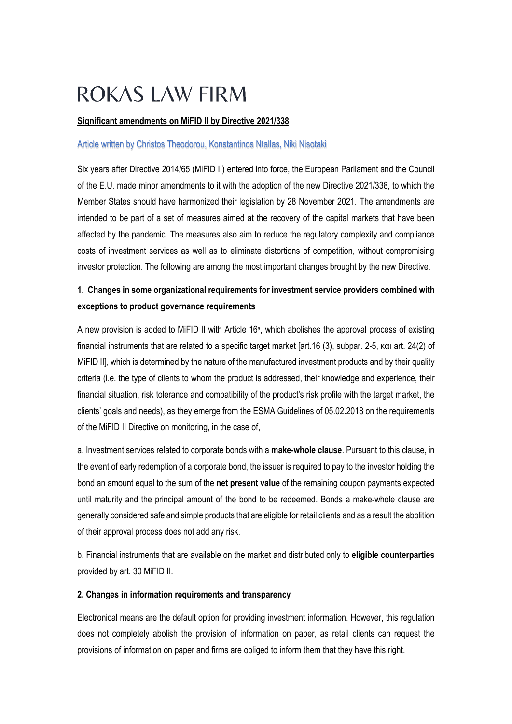# **ROKAS LAW FIRM**

## **Significant amendments on MiFID II by Directive 2021/338**

#### Article written by Christos Theodorou, Konstantinos Ntallas, Niki Nisotaki

Six years after Directive 2014/65 (MiFID II) entered into force, the European Parliament and the Council of the E.U. made minor amendments to it with the adoption of the new Directive 2021/338, to which the Member States should have harmonized their legislation by 28 November 2021. The amendments are intended to be part of a set of measures aimed at the recovery of the capital markets that have been affected by the pandemic. The measures also aim to reduce the regulatory complexity and compliance costs of investment services as well as to eliminate distortions of competition, without compromising investor protection. The following are among the most important changes brought by the new Directive.

# **1. Changes in some organizational requirements for investment service providers combined with exceptions to product governance requirements**

A new provision is added to MiFID II with Article 16<sup>a</sup>, which abolishes the approval process of existing financial instruments that are related to a specific target market [art.16 (3), subpar. 2-5, και art. 24(2) of MiFID II], which is determined by the nature of the manufactured investment products and by their quality criteria (i.e. the type of clients to whom the product is addressed, their knowledge and experience, their financial situation, risk tolerance and compatibility of the product's risk profile with the target market, the clients' goals and needs), as they emerge from the ESMA Guidelines of 05.02.2018 on the requirements of the MiFID II Directive on monitoring, in the case of,

a. Investment services related to corporate bonds with a **make-whole clause**. Pursuant to this clause, in the event of early redemption of a corporate bond, the issuer is required to pay to the investor holding the bond an amount equal to the sum of the **net present value** of the remaining coupon payments expected until maturity and the principal amount of the bond to be redeemed. Bonds a make-whole clause are generally considered safe and simple products that are eligible for retail clients and as a result the abolition of their approval process does not add any risk.

b. Financial instruments that are available on the market and distributed only to **eligible counterparties** provided by art. 30 MiFID II.

#### **2. Changes in information requirements and transparency**

Electronical means are the default option for providing investment information. However, this regulation does not completely abolish the provision of information on paper, as retail clients can request the provisions of information on paper and firms are obliged to inform them that they have this right.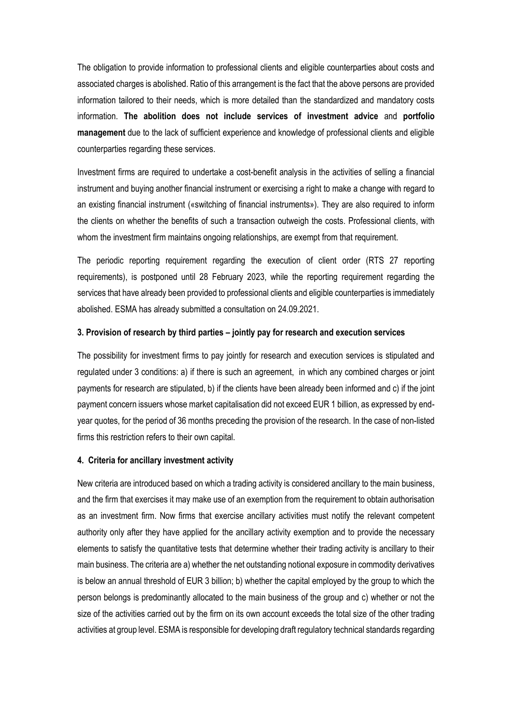The obligation to provide information to professional clients and eligible counterparties about costs and associated charges is abolished. Ratio of this arrangement is the fact that the above persons are provided information tailored to their needs, which is more detailed than the standardized and mandatory costs information. **The abolition does not include services of investment advice** and **portfolio management** due to the lack of sufficient experience and knowledge of professional clients and eligible counterparties regarding these services.

Investment firms are required to undertake a cost-benefit analysis in the activities of selling a financial instrument and buying another financial instrument or exercising a right to make a change with regard to an existing financial instrument («switching of financial instruments»). They are also required to inform the clients on whether the benefits of such a transaction outweigh the costs. Professional clients, with whom the investment firm maintains ongoing relationships, are exempt from that requirement.

The periodic reporting requirement regarding the execution of client order (RTS 27 reporting requirements), is postponed until 28 February 2023, while the reporting requirement regarding the services that have already been provided to professional clients and eligible counterparties is immediately abolished. ESMA has already submitted a consultation on 24.09.2021.

#### **3. Provision of research by third parties – jointly pay for research and execution services**

The possibility for investment firms to pay jointly for research and execution services is stipulated and regulated under 3 conditions: a) if there is such an agreement, in which any combined charges or joint payments for research are stipulated, b) if the clients have been already been informed and c) if the joint payment concern issuers whose market capitalisation did not exceed EUR 1 billion, as expressed by endyear quotes, for the period of 36 months preceding the provision of the research. In the case of non-listed firms this restriction refers to their own capital.

#### **4. Criteria for ancillary investment activity**

New criteria are introduced based on which a trading activity is considered ancillary to the main business, and the firm that exercises it may make use of an exemption from the requirement to obtain authorisation as an investment firm. Now firms that exercise ancillary activities must notify the relevant competent authority only after they have applied for the ancillary activity exemption and to provide the necessary elements to satisfy the quantitative tests that determine whether their trading activity is ancillary to their main business. The criteria are a) whether the net outstanding notional exposure in commodity derivatives is below an annual threshold of EUR 3 billion; b) whether the capital employed by the group to which the person belongs is predominantly allocated to the main business of the group and c) whether or not the size of the activities carried out by the firm on its own account exceeds the total size of the other trading activities at group level. ESMA is responsible for developing draft regulatory technical standards regarding